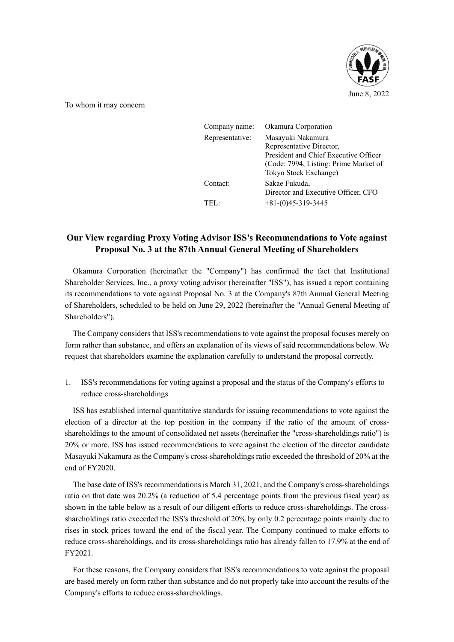

To whom it may concern

| Company name:   | Okamura Corporation                                                                                                                                      |
|-----------------|----------------------------------------------------------------------------------------------------------------------------------------------------------|
| Representative: | Masayuki Nakamura<br>Representative Director,<br>President and Chief Executive Officer<br>(Code: 7994, Listing: Prime Market of<br>Tokyo Stock Exchange) |
| Contact:        | Sakae Fukuda,<br>Director and Executive Officer, CFO                                                                                                     |
| $\text{TEL}$    | $+81-(0)45-319-3445$                                                                                                                                     |

## **Our View regarding Proxy Voting Advisor ISS's Recommendations to Vote against Proposal No. 3 at the 87th Annual General Meeting of Shareholders**

Okamura Corporation (hereinafter the "Company") has confirmed the fact that Institutional Shareholder Services, Inc., a proxy voting advisor (hereinafter "ISS"), has issued a report containing its recommendations to vote against Proposal No. 3 at the Company's 87th Annual General Meeting of Shareholders, scheduled to be held on June 29, 2022 (hereinafter the "Annual General Meeting of Shareholders").

The Company considers that ISS's recommendations to vote against the proposal focuses merely on form rather than substance, and offers an explanation of its views of said recommendations below. We request that shareholders examine the explanation carefully to understand the proposal correctly.

1. ISS's recommendations for voting against a proposal and the status of the Company's efforts to reduce cross-shareholdings

ISS has established internal quantitative standards for issuing recommendations to vote against the election of a director at the top position in the company if the ratio of the amount of crossshareholdings to the amount of consolidated net assets (hereinafter the "cross-shareholdings ratio") is 20% or more. ISS has issued recommendations to vote against the election of the director candidate Masayuki Nakamura as the Company's cross-shareholdings ratio exceeded the threshold of 20% at the end of FY2020.

The base date of ISS's recommendations is March 31, 2021, and the Company's cross-shareholdings ratio on that date was 20.2% (a reduction of 5.4 percentage points from the previous fiscal year) as shown in the table below as a result of our diligent efforts to reduce cross-shareholdings. The crossshareholdings ratio exceeded the ISS's threshold of 20% by only 0.2 percentage points mainly due to rises in stock prices toward the end of the fiscal year. The Company continued to make efforts to reduce cross-shareholdings, and its cross-shareholdings ratio has already fallen to 17.9% at the end of FY2021.

For these reasons, the Company considers that ISS's recommendations to vote against the proposal are based merely on form rather than substance and do not properly take into account the results of the Company's efforts to reduce cross-shareholdings.